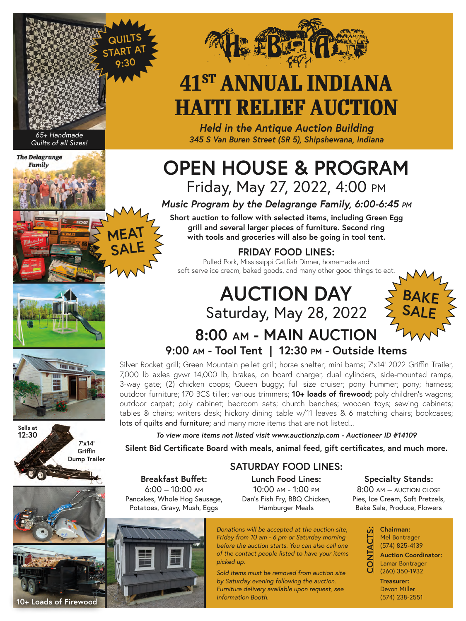

# **41ST ANNUAL INDIANA HAITI RELIEF AUCTION**

*Held in the Antique Auction Building 345 S Van Buren Street (SR 5), Shipshewana, Indiana*

### **OPEN HOUSE & PROGRAM** Friday, May 27, 2022, 4:00 pm

*Music Program by the Delagrange Family, 6:00-6:45 pm*

**Short auction to follow with selected items, including Green Egg grill and several larger pieces of furniture. Second ring with tools and groceries will also be going in tool tent.** 

#### **FRIDAY FOOD LINES:**

Pulled Pork, Mississippi Catfish Dinner, homemade and soft serve ice cream, baked goods, and many other good things to eat.

## **AUCTION DAY** Saturday, May 28, 2022

**8:00 am - MAIN AUCTION**





*65+ Handmade Quilts of all Sizes!*

**The Delagrange Family** 



**9:00 am - Tool Tent | 12:30 pm - Outside Items** Silver Rocket grill; Green Mountain pellet grill; horse shelter; mini barns; 7'x14' 2022 Griffin Trailer, 7,000 lb axles gvwr 14,000 lb, brakes, on board charger, dual cylinders, side-mounted ramps, 3-way gate; (2) chicken coops; Queen buggy; full size cruiser; pony hummer; pony; harness; outdoor furniture; 170 BCS tiller; various trimmers; **10+ loads of firewood;** poly children's wagons; outdoor carpet; poly cabinet; bedroom sets; church benches; wooden toys; sewing cabinets; tables & chairs; writers desk; hickory dining table w/11 leaves & 6 matching chairs; bookcases;

lots of quilts and furniture; and many more items that are not listed...

*To view more items not listed visit www.auctionzip.com - Auctioneer ID #14109*

**Silent Bid Certificate Board with meals, animal feed, gift certificates, and much more.**

#### **SATURDAY FOOD LINES:**

**Breakfast Buffet:**  6:00 – 10:00 am Pancakes, Whole Hog Sausage, Potatoes, Gravy, Mush, Eggs

**Lunch Food Lines:**  10:00 am - 1:00 pm Dan's Fish Fry, BBQ Chicken, Hamburger Meals

*Donations will be accepted at the auction site, Friday from 10 am - 6 pm or Saturday morning before the auction starts. You can also call one of the contact people listed to have your items* 

*Sold items must be removed from auction site by Saturday evening following the auction. Furniture delivery available upon request, see* 

*picked up.* 

*Information Booth.*

**Specialty Stands:** 

8:00 am – auction close Pies, Ice Cream, Soft Pretzels, Bake Sale, Produce, Flowers

> **Chairman:**  Mel Bontrager (574) 825-4139

**CONTACTS:**

**Auction Coordinator:**  Lamar Bontrager (260) 350-1932

**Treasurer:**  Devon Miller (574) 238-2551



**10+ Loads of Firewood**





**QUILTS START AT 9:30**